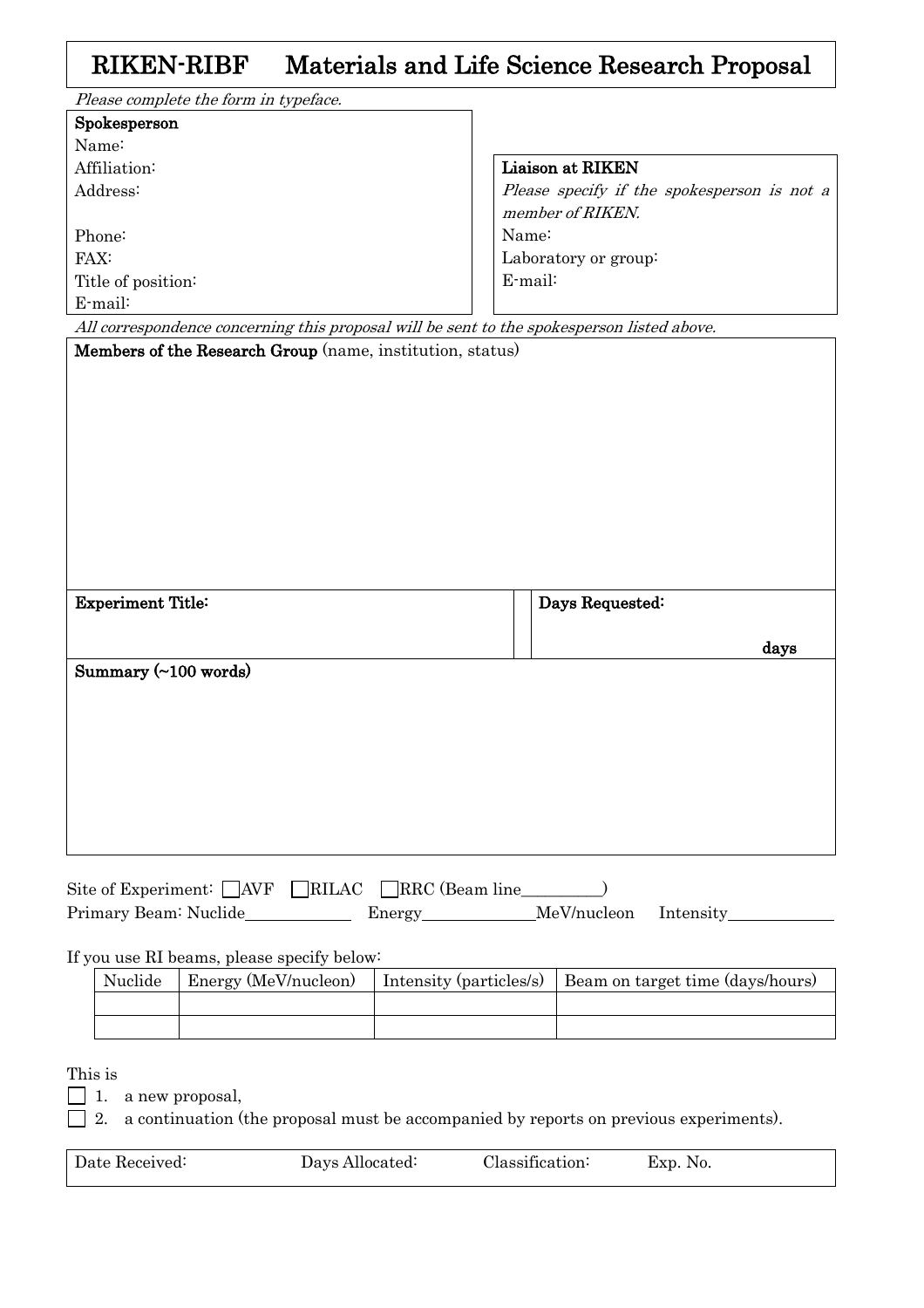## RIKEN-RIBF Materials and Life Science Research Proposal

| Please complete the form in typeface.                                                      |                                             |
|--------------------------------------------------------------------------------------------|---------------------------------------------|
| Spokesperson                                                                               |                                             |
| Name:                                                                                      |                                             |
| Affiliation:                                                                               | Liaison at RIKEN                            |
| Address:                                                                                   | Please specify if the spokesperson is not a |
|                                                                                            | member of RIKEN.                            |
| Phone:                                                                                     | Name:                                       |
| FAX:                                                                                       | Laboratory or group:                        |
| Title of position:                                                                         | E-mail:                                     |
| E-mail:                                                                                    |                                             |
| All correspondence concerning this proposal will be sent to the spokesperson listed above. |                                             |
| Members of the Research Group (name, institution, status)                                  |                                             |
|                                                                                            |                                             |
|                                                                                            |                                             |
|                                                                                            |                                             |
|                                                                                            |                                             |
|                                                                                            |                                             |
|                                                                                            |                                             |
|                                                                                            |                                             |
|                                                                                            |                                             |
|                                                                                            |                                             |
|                                                                                            |                                             |
| <b>Experiment Title:</b>                                                                   | Days Requested:                             |
|                                                                                            |                                             |
|                                                                                            | days                                        |
| Summary (~100 words)                                                                       |                                             |
|                                                                                            |                                             |
|                                                                                            |                                             |
|                                                                                            |                                             |
|                                                                                            |                                             |
|                                                                                            |                                             |
|                                                                                            |                                             |
|                                                                                            |                                             |
|                                                                                            |                                             |
|                                                                                            |                                             |

|                       | Site of Experiment: $\Box$ AVF $\Box$ RILAC $\Box$ RRC (Beam line |                       |  |
|-----------------------|-------------------------------------------------------------------|-----------------------|--|
| Primary Beam: Nuclide | Energy                                                            | MeV/nucleon Intensity |  |

If you use RI beams, please specify below:

| Nuclide | Energy (MeV/nucleon) | Intensity (particles/s)   Beam on target time (days/hours) |
|---------|----------------------|------------------------------------------------------------|
|         |                      |                                                            |
|         |                      |                                                            |

This is

 $\Box$  1. a new proposal,

 $\Box$  2. a continuation (the proposal must be accompanied by reports on previous experiments).

| Date Received: | Days Allocated: | Classification: | Exp. No. |
|----------------|-----------------|-----------------|----------|
|                |                 |                 |          |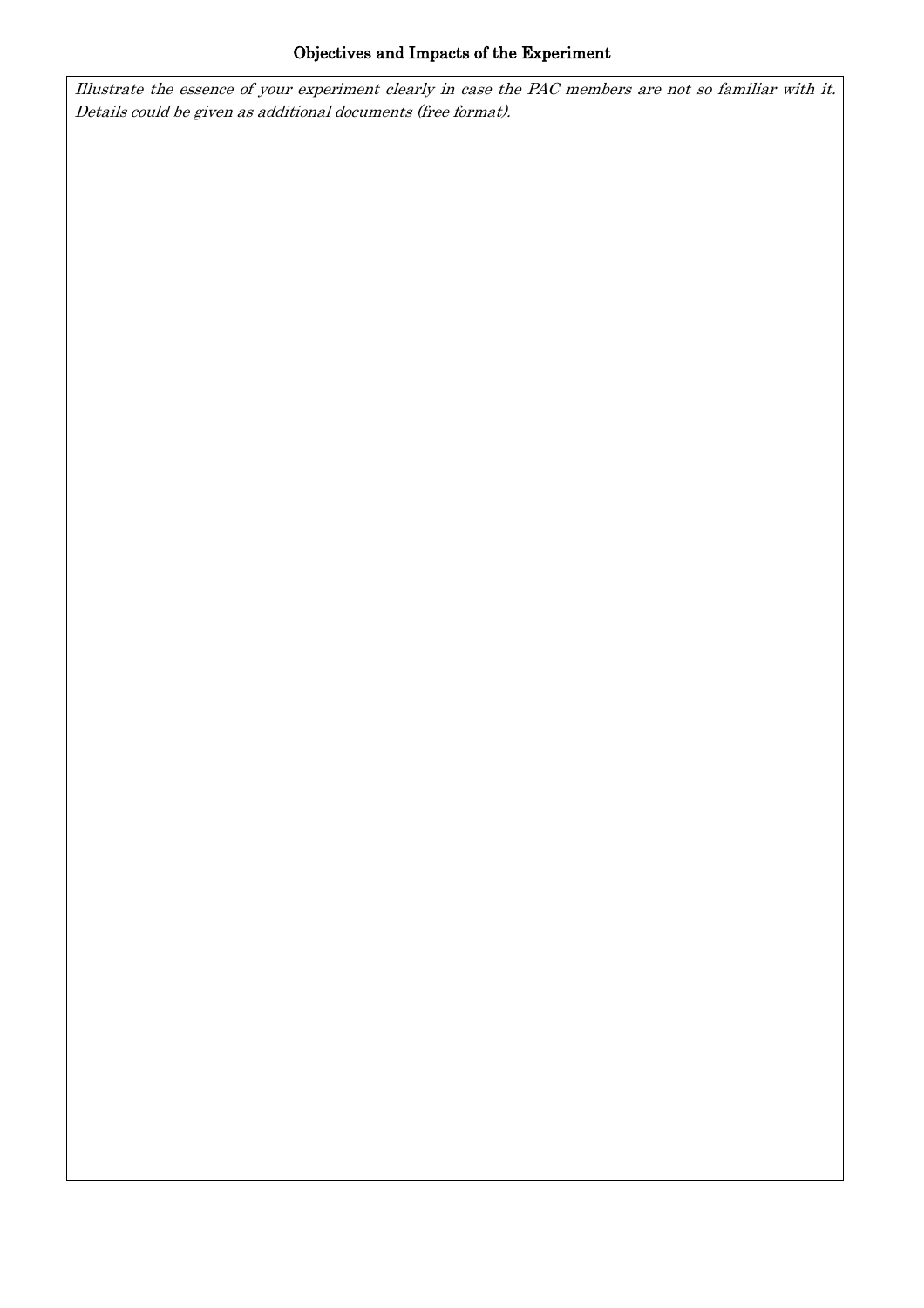Illustrate the essence of your experiment clearly in case the PAC members are not so familiar with it. Details could be given as additional documents (free format).